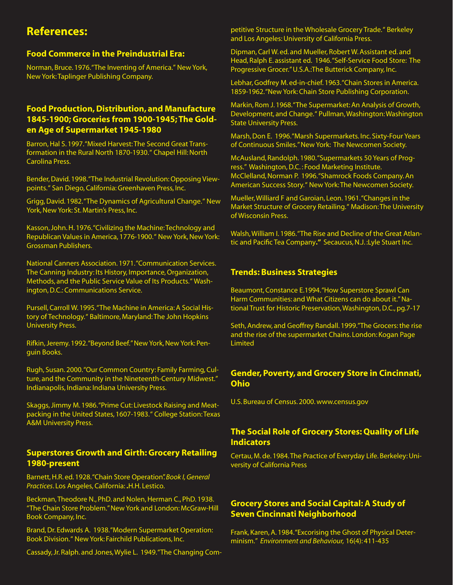# **References:**

#### **Food Commerce in the Preindustrial Era:**

Norman, Bruce. 1976. "The Inventing of America." New York, New York: Taplinger Publishing Company.

# **Food Production, Distribution, and Manufacture 1845-1900; Groceries from 1900-1945; The Golden Age of Supermarket 1945-1980**

Barron, Hal S. 1997. "Mixed Harvest: The Second Great Transformation in the Rural North 1870-1930. " Chapel Hill: North Carolina Press.

Bender, David. 1998. "The Industrial Revolution: Opposing Viewpoints. " San Diego, California: Greenhaven Press, Inc.

Grigg, David. 1982. "The Dynamics of Agricultural Change. " New York, New York: St. Martin's Press, Inc.

Kasson, John. H. 1976. "Civilizing the Machine: Technology and Republican Values in America, 1776-1900." New York, New York: Grossman Publishers.

National Canners Association. 1971. "Communication Services. The Canning Industry: Its History, Importance, Organization, Methods, and the Public Service Value of Its Products. " Washington, D.C.: Communications Service.

Pursell, Carroll W. 1995. "The Machine in America: A Social History of Technology." Baltimore, Maryland: The John Hopkins University Press.

Rifkin, Jeremy. 1992. "Beyond Beef." New York, New York: Penguin Books.

Rugh, Susan. 2000. "Our Common Country: Family Farming, Culture, and the Community in the Nineteenth-Century Midwest." Indianapolis, Indiana: Indiana University Press.

Skaggs, Jimmy M. 1986. "Prime Cut: Livestock Raising and Meatpacking in the United States, 1607-1983. " College Station: Texas A&M University Press.

#### **Superstores Growth and Girth: Grocery Retailing 1980-present**

Barnett, H.R. ed. 1928. "Chain Store Operation". *Book I, General Practices*. Los Angeles, California: **.**H.H. Lestico.

Beckman, Theodore N., PhD. and Nolen, Herman C., PhD. 1938. "The Chain Store Problem." New York and London: McGraw-Hill Book Company, Inc.

Brand, Dr. Edwards A. 1938. "Modern Supermarket Operation: Book Division. " New York: Fairchild Publications, Inc.

Cassady, Jr. Ralph. and Jones, Wylie L. 1949. "The Changing Com-

petitive Structure in the Wholesale Grocery Trade. " Berkeley and Los Angeles: University of California Press.

Dipman, Carl W. ed. and Mueller, Robert W. Assistant ed. and Head, Ralph E. assistant ed. 1946. "Self-Service Food Store: The Progressive Grocer." U.S.A.:The Butterick Company, Inc.

Lebhar, Godfrey M. ed-in-chief. 1963. "Chain Stores in America. 1859-1962. "New York: Chain Store Publishing Corporation.

Markin, Rom J. 1968. "The Supermarket: An Analysis of Growth, Development, and Change. " Pullman, Washington: Washington State University Press.

Marsh, Don E. 1996. "Marsh Supermarkets. Inc. Sixty-Four Years of Continuous Smiles." New York: The Newcomen Society.

McAusland, Randolph. 1980. "Supermarkets 50 Years of Progress." Washington, D.C. : Food Marketing Institute. McClelland, Norman P. 1996. "Shamrock Foods Company. An American Success Story. " New York: The Newcomen Society.

Mueller, Williard F and Garoian, Leon. 1961. "Changes in the Market Structure of Grocery Retailing. " Madison: The University of Wisconsin Press.

Walsh, William I. 1986. "The Rise and Decline of the Great Atlantic and Pacific Tea Company**."** Secaucus, N.J. :Lyle Stuart Inc.

#### **Trends: Business Strategies**

Beaumont, Constance E.1994. "How Superstore Sprawl Can Harm Communities: and What Citizens can do about it." National Trust for Historic Preservation, Washington, D.C., pg.7-17

Seth, Andrew, and Geoffrey Randall. 1999."The Grocers: the rise and the rise of the supermarket Chains. London: Kogan Page Limited

## **Gender, Poverty, and Grocery Store in Cincinnati, Ohio**

U.S. Bureau of Census. 2000. www.census.gov

# **The Social Role of Grocery Stores: Quality of Life Indicators**

Certau, M. de. 1984. The Practice of Everyday Life. Berkeley: University of California Press

## **Grocery Stores and Social Capital: A Study of Seven Cincinnati Neighborhood**

Frank, Karen, A. 1984. "Excorising the Ghost of Physical Determinism." *Environment and Behaviour,* 16(4): 411-435